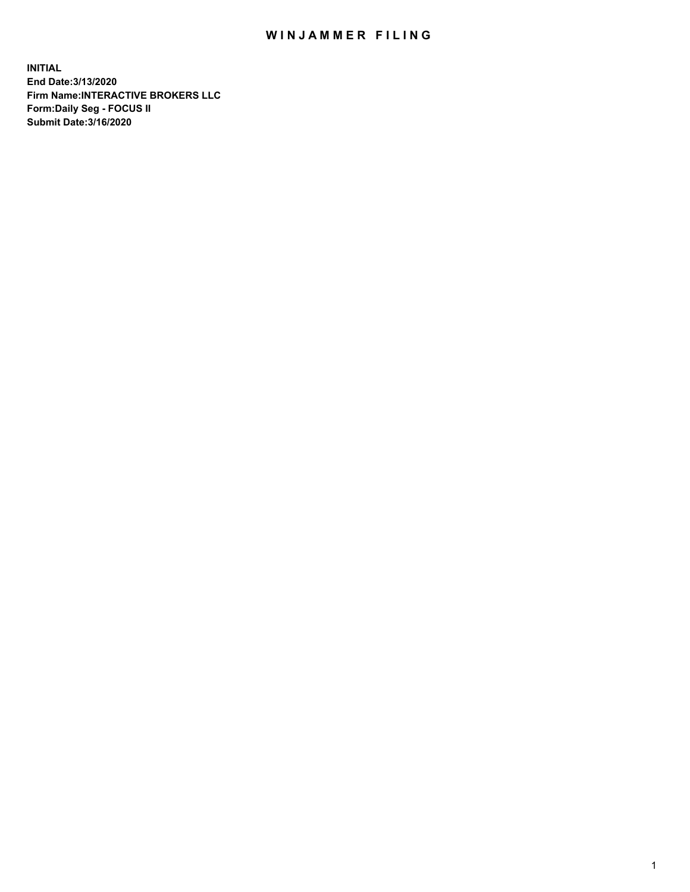## WIN JAMMER FILING

**INITIAL End Date:3/13/2020 Firm Name:INTERACTIVE BROKERS LLC Form:Daily Seg - FOCUS II Submit Date:3/16/2020**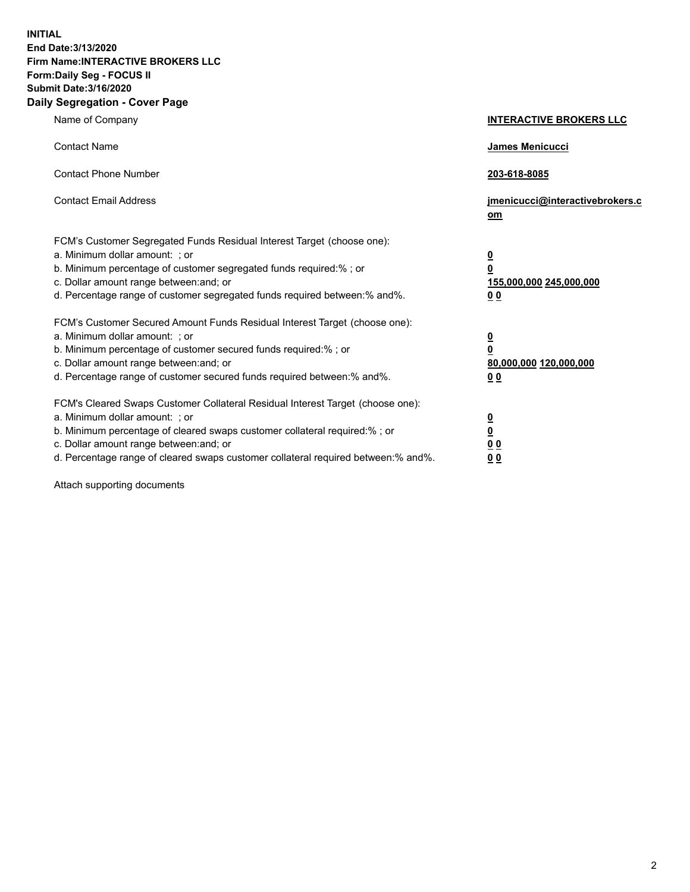**INITIAL End Date:3/13/2020 Firm Name:INTERACTIVE BROKERS LLC Form:Daily Seg - FOCUS II Submit Date:3/16/2020 Daily Segregation - Cover Page**

| Name of Company                                                                                                                                                                                                                                                                                                                | <b>INTERACTIVE BROKERS LLC</b>                                                   |
|--------------------------------------------------------------------------------------------------------------------------------------------------------------------------------------------------------------------------------------------------------------------------------------------------------------------------------|----------------------------------------------------------------------------------|
| <b>Contact Name</b>                                                                                                                                                                                                                                                                                                            | James Menicucci                                                                  |
| <b>Contact Phone Number</b>                                                                                                                                                                                                                                                                                                    | 203-618-8085                                                                     |
| <b>Contact Email Address</b>                                                                                                                                                                                                                                                                                                   | jmenicucci@interactivebrokers.c<br>om                                            |
| FCM's Customer Segregated Funds Residual Interest Target (choose one):<br>a. Minimum dollar amount: ; or<br>b. Minimum percentage of customer segregated funds required:% ; or<br>c. Dollar amount range between: and; or<br>d. Percentage range of customer segregated funds required between:% and%.                         | <u>0</u><br>$\overline{\mathbf{0}}$<br>155,000,000 245,000,000<br>0 <sub>0</sub> |
| FCM's Customer Secured Amount Funds Residual Interest Target (choose one):<br>a. Minimum dollar amount: ; or<br>b. Minimum percentage of customer secured funds required:% ; or<br>c. Dollar amount range between: and; or<br>d. Percentage range of customer secured funds required between:% and%.                           | <u>0</u><br>$\overline{\mathbf{0}}$<br>80,000,000 120,000,000<br>0 <sub>0</sub>  |
| FCM's Cleared Swaps Customer Collateral Residual Interest Target (choose one):<br>a. Minimum dollar amount: ; or<br>b. Minimum percentage of cleared swaps customer collateral required:% ; or<br>c. Dollar amount range between: and; or<br>d. Percentage range of cleared swaps customer collateral required between:% and%. | <u>0</u><br>$\underline{\mathbf{0}}$<br>0 <sub>0</sub><br>0 <sub>0</sub>         |

Attach supporting documents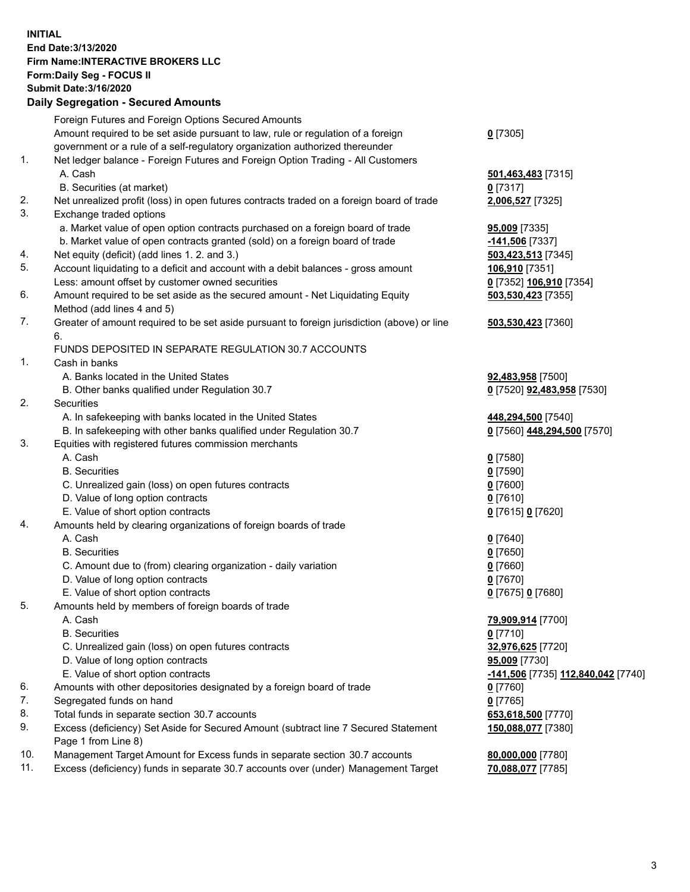## **INITIAL End Date:3/13/2020 Firm Name:INTERACTIVE BROKERS LLC Form:Daily Seg - FOCUS II Submit Date:3/16/2020 Daily Segregation - Secured Amounts**

|     | Daily Jegregation - Jeculed Aniounts                                                        |                                                 |
|-----|---------------------------------------------------------------------------------------------|-------------------------------------------------|
|     | Foreign Futures and Foreign Options Secured Amounts                                         |                                                 |
|     | Amount required to be set aside pursuant to law, rule or regulation of a foreign            | $0$ [7305]                                      |
|     | government or a rule of a self-regulatory organization authorized thereunder                |                                                 |
| 1.  | Net ledger balance - Foreign Futures and Foreign Option Trading - All Customers             |                                                 |
|     | A. Cash                                                                                     | 501,463,483 [7315]                              |
|     | B. Securities (at market)                                                                   | $0$ [7317]                                      |
| 2.  | Net unrealized profit (loss) in open futures contracts traded on a foreign board of trade   | 2,006,527 [7325]                                |
| 3.  | Exchange traded options                                                                     |                                                 |
|     | a. Market value of open option contracts purchased on a foreign board of trade              | <b>95,009</b> [7335]                            |
|     | b. Market value of open contracts granted (sold) on a foreign board of trade                | -141,506 <sup>[7337]</sup>                      |
| 4.  | Net equity (deficit) (add lines 1. 2. and 3.)                                               | 503,423,513 [7345]                              |
| 5.  | Account liquidating to a deficit and account with a debit balances - gross amount           | 106,910 [7351]                                  |
|     | Less: amount offset by customer owned securities                                            | 0 [7352] 106,910 [7354]                         |
| 6.  | Amount required to be set aside as the secured amount - Net Liquidating Equity              | 503,530,423 [7355]                              |
|     | Method (add lines 4 and 5)                                                                  |                                                 |
| 7.  | Greater of amount required to be set aside pursuant to foreign jurisdiction (above) or line | 503,530,423 [7360]                              |
|     | 6.                                                                                          |                                                 |
|     | FUNDS DEPOSITED IN SEPARATE REGULATION 30.7 ACCOUNTS                                        |                                                 |
| 1.  | Cash in banks                                                                               |                                                 |
|     | A. Banks located in the United States                                                       | 92,483,958 [7500]                               |
|     | B. Other banks qualified under Regulation 30.7                                              | 0 [7520] 92,483,958 [7530]                      |
| 2.  | Securities                                                                                  |                                                 |
|     | A. In safekeeping with banks located in the United States                                   | 448,294,500 [7540]                              |
|     | B. In safekeeping with other banks qualified under Regulation 30.7                          | 0 [7560] 448,294,500 [7570]                     |
| 3.  | Equities with registered futures commission merchants                                       |                                                 |
|     | A. Cash                                                                                     | $0$ [7580]                                      |
|     | <b>B.</b> Securities                                                                        | $0$ [7590]                                      |
|     | C. Unrealized gain (loss) on open futures contracts                                         | $0$ [7600]                                      |
|     | D. Value of long option contracts                                                           | $0$ [7610]                                      |
|     | E. Value of short option contracts                                                          | 0 [7615] 0 [7620]                               |
| 4.  | Amounts held by clearing organizations of foreign boards of trade                           |                                                 |
|     | A. Cash                                                                                     | $0$ [7640]                                      |
|     | <b>B.</b> Securities                                                                        | $0$ [7650]                                      |
|     | C. Amount due to (from) clearing organization - daily variation                             | $0$ [7660]                                      |
|     | D. Value of long option contracts                                                           | $0$ [7670]                                      |
|     | E. Value of short option contracts                                                          | 0 [7675] 0 [7680]                               |
| 5.  | Amounts held by members of foreign boards of trade                                          |                                                 |
|     | A. Cash                                                                                     | 79,909,914 [7700]                               |
|     | <b>B.</b> Securities                                                                        | $0$ [7710]                                      |
|     | C. Unrealized gain (loss) on open futures contracts                                         | 32,976,625 [7720]                               |
|     | D. Value of long option contracts                                                           | 95,009 [7730]                                   |
|     | E. Value of short option contracts                                                          | <mark>-141,506</mark> [7735] 112,840,042 [7740] |
| 6.  | Amounts with other depositories designated by a foreign board of trade                      | 0 [7760]                                        |
| 7.  | Segregated funds on hand                                                                    | $0$ [7765]                                      |
| 8.  | Total funds in separate section 30.7 accounts                                               | 653,618,500 [7770]                              |
| 9.  | Excess (deficiency) Set Aside for Secured Amount (subtract line 7 Secured Statement         | 150,088,077 [7380]                              |
|     | Page 1 from Line 8)                                                                         |                                                 |
| 10. | Management Target Amount for Excess funds in separate section 30.7 accounts                 | 80,000,000 [7780]                               |
| 11. | Excess (deficiency) funds in separate 30.7 accounts over (under) Management Target          | 70,088,077 [7785]                               |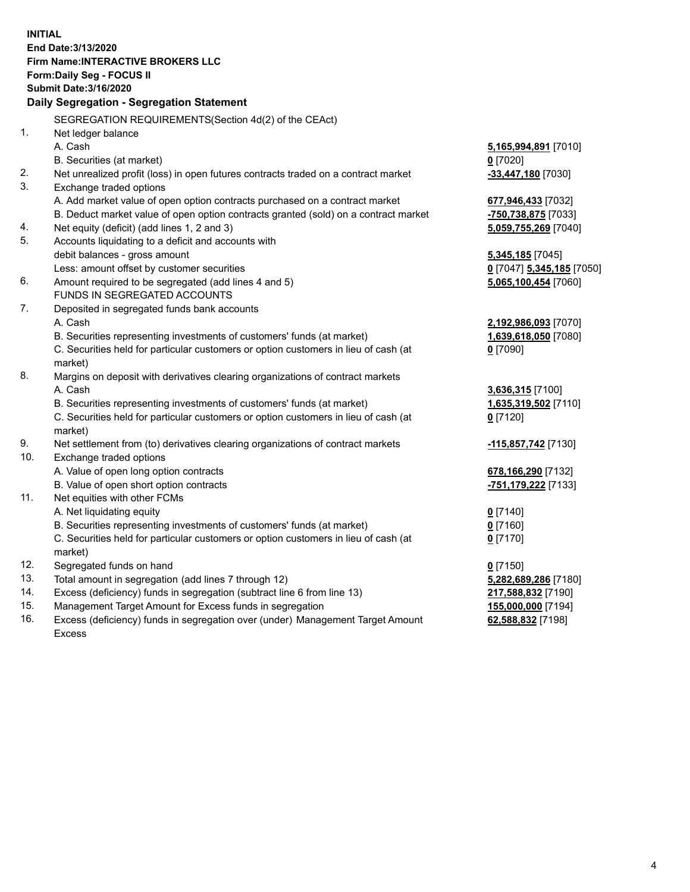**INITIAL End Date:3/13/2020 Firm Name:INTERACTIVE BROKERS LLC Form:Daily Seg - FOCUS II Submit Date:3/16/2020 Daily Segregation - Segregation Statement** SEGREGATION REQUIREMENTS(Section 4d(2) of the CEAct) 1. Net ledger balance A. Cash **5,165,994,891** [7010] B. Securities (at market) **0** [7020] 2. Net unrealized profit (loss) in open futures contracts traded on a contract market **-33,447,180** [7030] 3. Exchange traded options A. Add market value of open option contracts purchased on a contract market **677,946,433** [7032] B. Deduct market value of open option contracts granted (sold) on a contract market **-750,738,875** [7033] 4. Net equity (deficit) (add lines 1, 2 and 3) **5,059,755,269** [7040] 5. Accounts liquidating to a deficit and accounts with debit balances - gross amount **5,345,185** [7045] Less: amount offset by customer securities **0** [7047] **5,345,185** [7050] 6. Amount required to be segregated (add lines 4 and 5) **5,065,100,454** [7060] FUNDS IN SEGREGATED ACCOUNTS 7. Deposited in segregated funds bank accounts A. Cash **2,192,986,093** [7070] B. Securities representing investments of customers' funds (at market) **1,639,618,050** [7080] C. Securities held for particular customers or option customers in lieu of cash (at market) **0** [7090] 8. Margins on deposit with derivatives clearing organizations of contract markets A. Cash **3,636,315** [7100] B. Securities representing investments of customers' funds (at market) **1,635,319,502** [7110] C. Securities held for particular customers or option customers in lieu of cash (at market) **0** [7120] 9. Net settlement from (to) derivatives clearing organizations of contract markets **-115,857,742** [7130] 10. Exchange traded options A. Value of open long option contracts **678,166,290** [7132] B. Value of open short option contracts **-751,179,222** [7133] 11. Net equities with other FCMs A. Net liquidating equity **0** [7140] B. Securities representing investments of customers' funds (at market) **0** [7160] C. Securities held for particular customers or option customers in lieu of cash (at market) **0** [7170] 12. Segregated funds on hand **0** [7150] 13. Total amount in segregation (add lines 7 through 12) **5,282,689,286** [7180] 14. Excess (deficiency) funds in segregation (subtract line 6 from line 13) **217,588,832** [7190] 15. Management Target Amount for Excess funds in segregation **155,000,000** [7194] 16. Excess (deficiency) funds in segregation over (under) Management Target Amount **62,588,832** [7198]

Excess